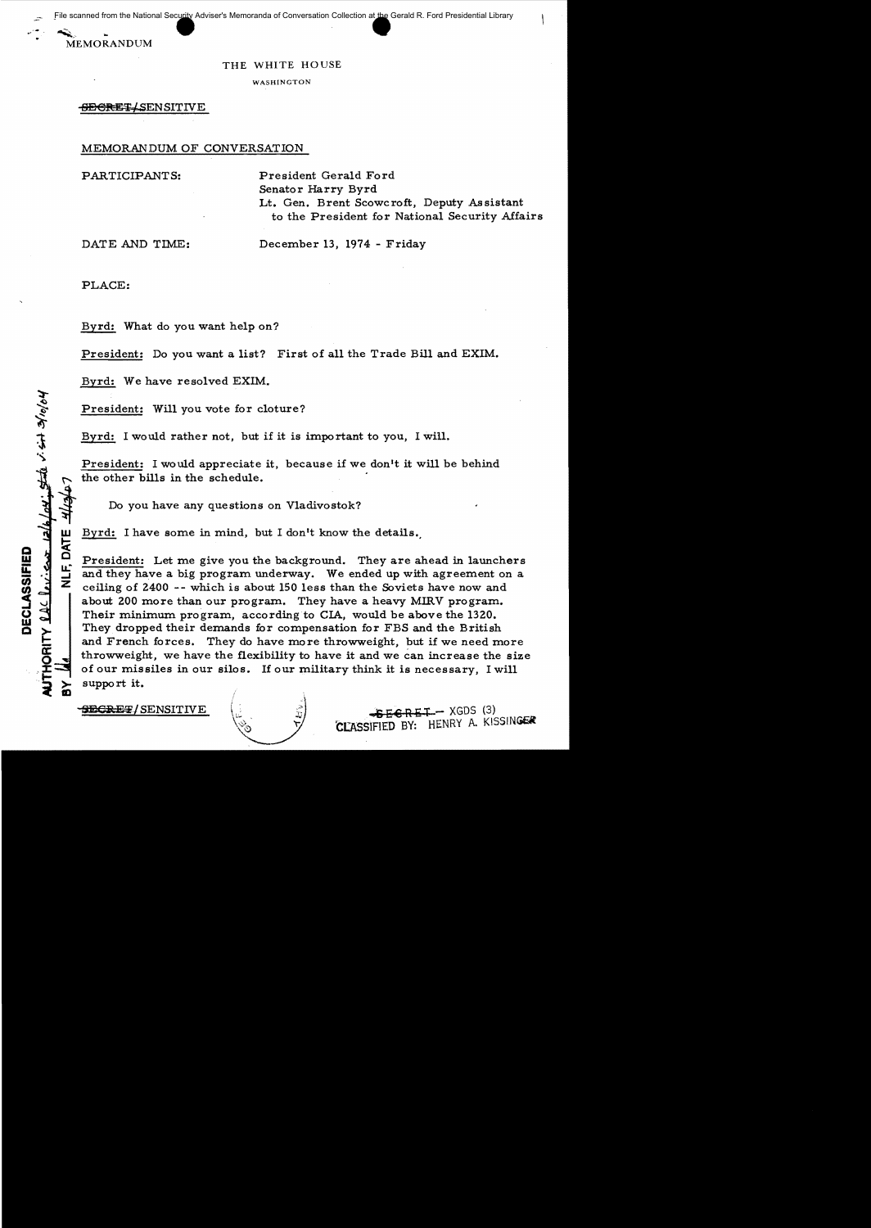File scanned from the National Security Adviser's Memoranda of Conversation Collection at the Gerald R. Ford Presidential Library

**MEMORANDUM** 

## THE WHITE HOUSE

WASHINGTON

SECRET SENSITIVE

MEMORANDUM OF CONVERSATION

PARTICIPANTS: President Gerald Ford Senator Harry Byrd Lt. Gen. Brent Scowcroft, Deputy Assistant to the President for National Security Affairs

DATE AND TIME: December 13, 1974 - Friday

PLACE:

**NLF, DAT** 

UTHORITY  $\Omega \triangle \Omega \cap \mathcal{L}$ 

DECLASSIFIED

wolole ties is study

.<br>∕\_

Byrd: What do you want help on?

President: Do you want a list? First of all the Trade Bill and EXIM.

Byrd: We have resolved EXIM.

President: Will you vote for cloture?

Byrd: I would rather not, but if it is important to you, I will.

President: I would appreciate it, because if we don't it will be behind the other bills in the schedule.<br>Do you have any questions on Vladivostok?

Byrd: I have some in mind, but I don't know the details.

President: Let me give you the background. They are ahead in launchers and they have a big program underway. We ended up with agreement on a ceiling of 2400 -- which is about 150 less than the Soviets have now and about 200 more than our program. They have a heavy MIRV program. Their minimum program, according to CIA, would be above the 1320. They dropped their demands for compensation for FBS and the British and French forces. They do have more throwweight, but if we need more throwweight, we haye the flexibility to have it and we can increase the size of our missiles in our silos. If our military think it is necessary, I will support it.

**SECRET/ SENSITIVE** (3) SFEERET - XGDS (3) C[ASSIFIED BY: HENRY A. KISSINGER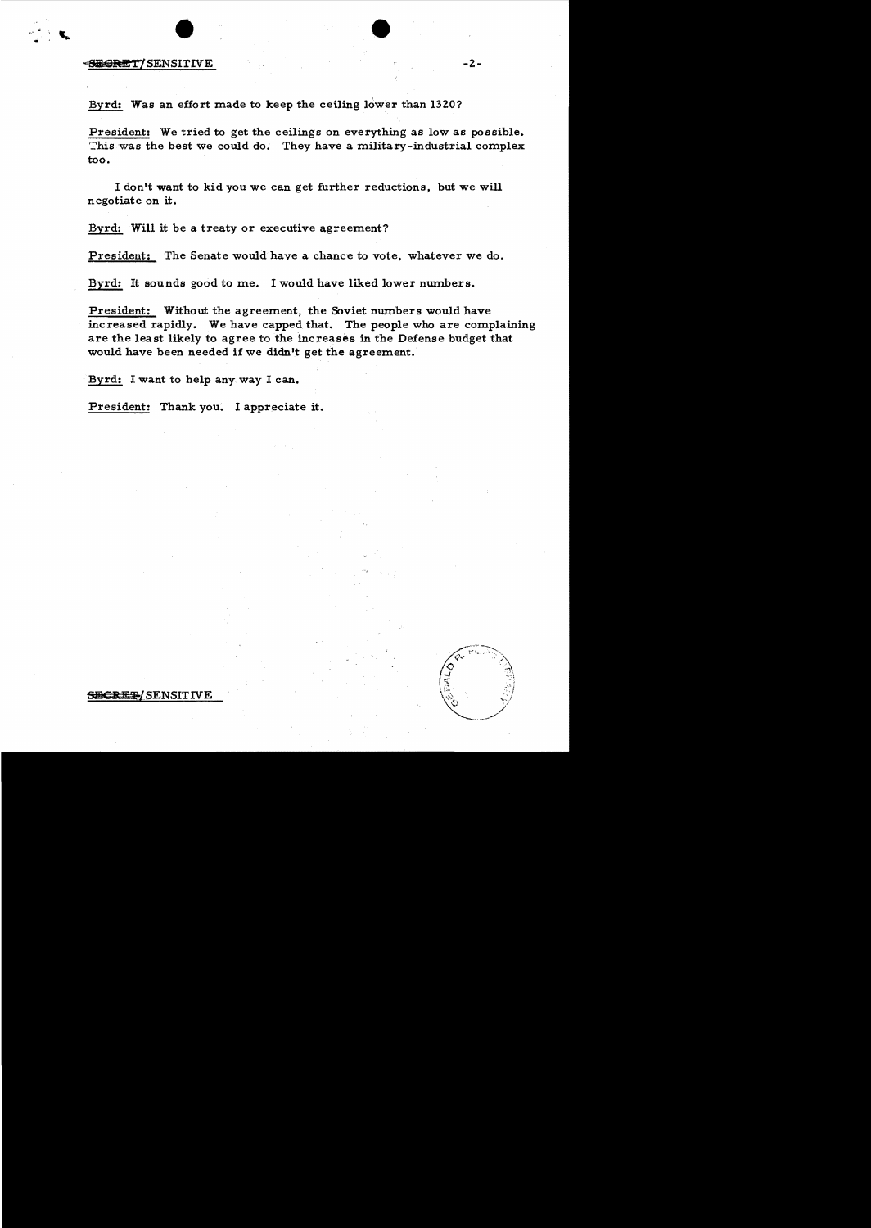## external of the state of the state of the state of the state of the state of the state of the state of the state of the state of the state of the state of the state of the state of the state of the state of the state of th

Byrd: Was an effort made to keep the ceiling lower than 1320?

President: We tried to get the ceilings on everything as low as possible. This was the best we could do. They have a military-industrial complex too.

I don't want to kid you we can get further reductions, but we will negotiate on it.

Byrd: Will it be a treaty or executive agreement?

President: The Senate would have a chance to vote, whatever we do.

Byrd: It sounds good to me. I would have liked lower numbers.

President: Without the agreement, the Soviet numbers would have increased rapidly. We have capped that. The people who are complaining are the least likely to agree to the increases in the Defense budget that would have been needed if we didn't get the agreement.

Byrd: I want to help any. way I can.

President: Thank you. I appreciate it.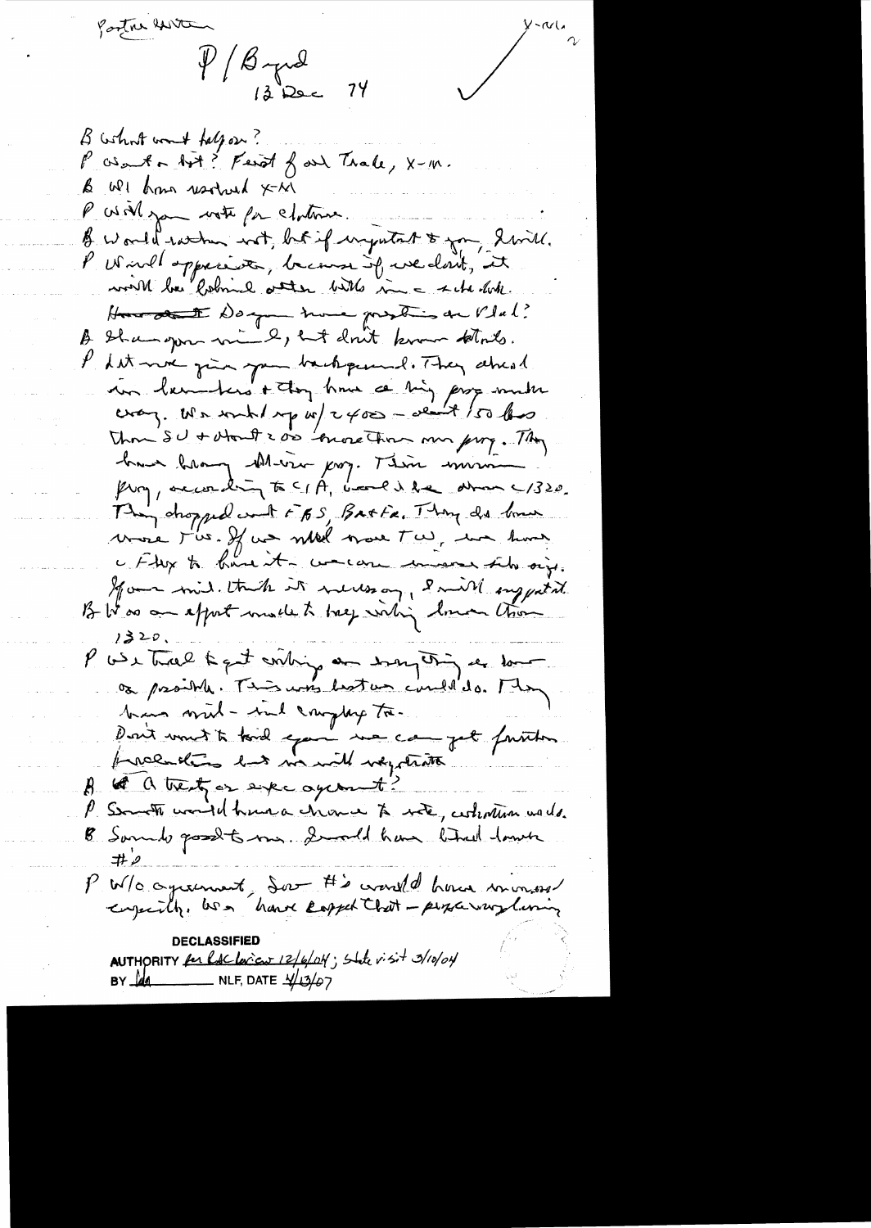$\frac{1}{\frac{12}{8}}$  $\frac{1}{\sqrt{1-\frac{1}{\sqrt{1-\frac{1}{\sqrt{1-\frac{1}{\sqrt{1-\frac{1}{\sqrt{1-\frac{1}{\sqrt{1-\frac{1}{\sqrt{1-\frac{1}{\sqrt{1-\frac{1}{\sqrt{1-\frac{1}{\sqrt{1-\frac{1}{\sqrt{1-\frac{1}{\sqrt{1-\frac{1}{\sqrt{1-\frac{1}{\sqrt{1-\frac{1}{\sqrt{1-\frac{1}{\sqrt{1-\frac{1}{\sqrt{1-\frac{1}{\sqrt{1-\frac{1}{\sqrt{1-\frac{1}{\sqrt{1-\frac{1}{\sqrt{1-\frac{1}{\sqrt{1-\frac{1}{\sqrt{1-\frac{1}{\sqrt{1-\frac{1$ B what won't help on? P as ant a bot? Fend of and Trale, X-m. & WI how usolved X-M P Will you with for chotomer. B world with not, but if injutate & you, havill. P Wird oppresse, because of we don't, it world be lobmed atten bits in a schedok. Hun auté Day - nous prostis de l'Inl. Shangon mind, but don't know that. Let me gin you background. They alread in lembers + they have a ting page much every. We wind up w/  $2400 - 221 + 150$  less Than SU + whout 2 or 'more Than my froz. They have been there joy. There min from, according to CIA, band i be almos C/320. Thin dropped work FBS, Batta, Thong do bonn voire t'us. If us milled more t'ai, un home a Flex to know it - wrecan unever the oise. Momen mid. that it never on, I mill suggested B Was an apport much to treep within lower than  $1320.$ P wer track to get conting an enough of the love os prosibile. This was lost un could do. They bins mul-ind complex to. Port unit to kind epox me can get faiten freeholing hat warnell wegetratte 8 th a trenty or expectational? P Someth would have a chome to with, certain wards. B Samulo good to me. I wild have that land ヰ P W/o agreement, dont #'s would have increased enjointly, was have capped that - personary luning AUTHORITY for laclorieur 12/6/04; State visit 3/10/04 BY  $\frac{1}{4}$  NLF, DATE  $\frac{1}{4}$   $\frac{1}{4}$